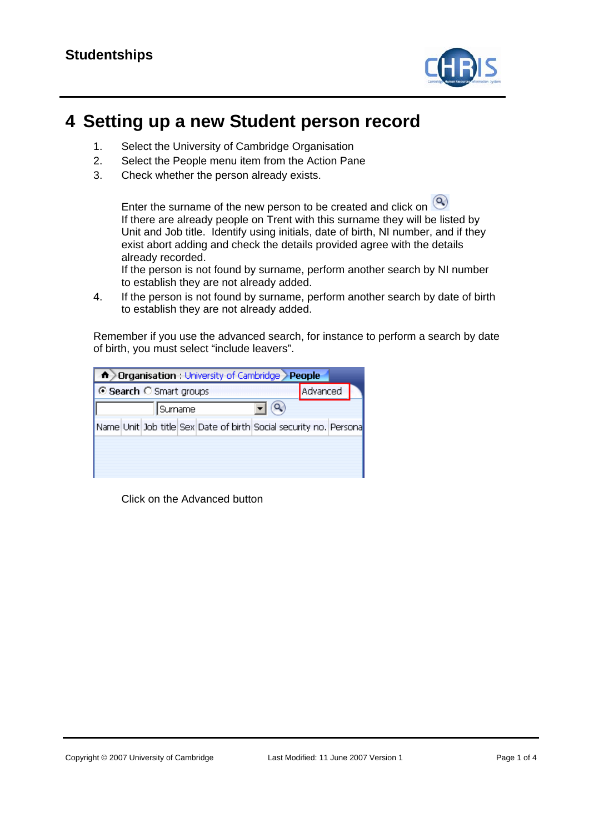

## **4 Setting up a new Student person record**

- 1. Select the University of Cambridge Organisation
- 2. Select the People menu item from the Action Pane
- 3. Check whether the person already exists.

Enter the surname of the new person to be created and click on  $\bigcirc$ If there are already people on Trent with this surname they will be listed by Unit and Job title. Identify using initials, date of birth, NI number, and if they exist abort adding and check the details provided agree with the details already recorded.

If the person is not found by surname, perform another search by NI number to establish they are not already added.

4. If the person is not found by surname, perform another search by date of birth to establish they are not already added.

Remember if you use the advanced search, for instance to perform a search by date of birth, you must select "include leavers".

| <b>fr</b> Drganisation : University of Cambridge People           |          |  |  |  |  |
|-------------------------------------------------------------------|----------|--|--|--|--|
| G Search C Smart groups                                           | Advanced |  |  |  |  |
| Surname                                                           |          |  |  |  |  |
| Name Unit Job title Sex Date of birth Social security no. Persona |          |  |  |  |  |
|                                                                   |          |  |  |  |  |
|                                                                   |          |  |  |  |  |
|                                                                   |          |  |  |  |  |

Click on the Advanced button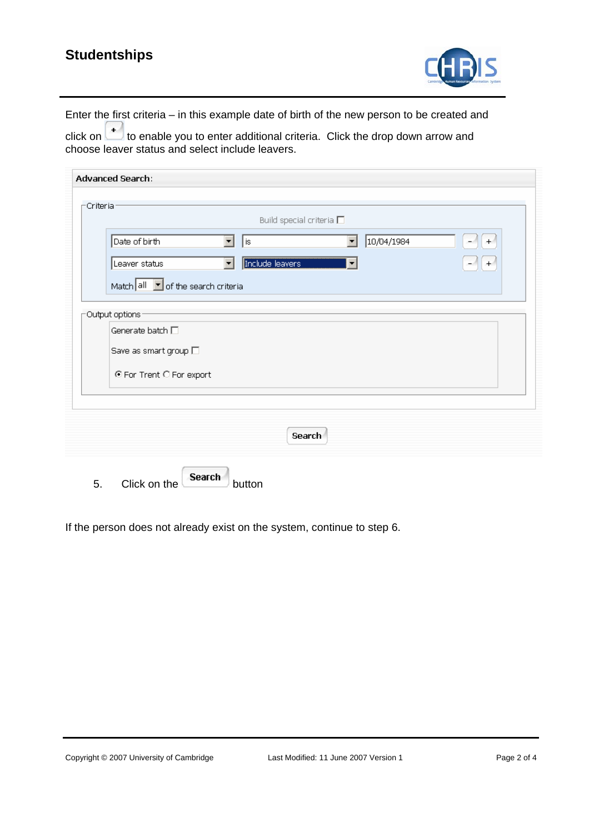## **Studentships**



Enter the first criteria – in this example date of birth of the new person to be created and

click on  $\Box$  to enable you to enter additional criteria. Click the drop down arrow and choose leaver status and select include leavers.

| Build special criteria $\square$                                                                   |  |  |  |  |
|----------------------------------------------------------------------------------------------------|--|--|--|--|
| 10/04/1984<br>Date of birth<br>$\overline{\mathbf{v}}$<br>$\blacktriangledown$<br>∥is<br>$\ddot{}$ |  |  |  |  |
| Include leavers<br>Leaver status<br>$+$<br>▼                                                       |  |  |  |  |
| Match all $\boxed{\bullet}$ of the search criteria                                                 |  |  |  |  |
| Output options                                                                                     |  |  |  |  |
| Generate batch $\square$                                                                           |  |  |  |  |
| Save as smart group $\square$                                                                      |  |  |  |  |
| ⊙ For Trent C For export                                                                           |  |  |  |  |
|                                                                                                    |  |  |  |  |
| Search                                                                                             |  |  |  |  |

If the person does not already exist on the system, continue to step 6.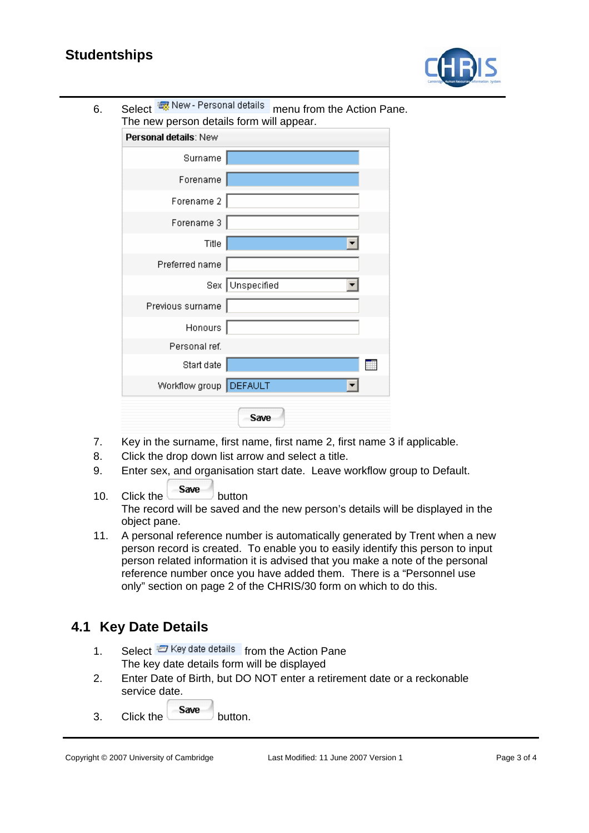## **Studentships**



| 6. | The new person details form will appear. | Select & New - Personal details menu from the Action Pane. |
|----|------------------------------------------|------------------------------------------------------------|
|    | Personal details: New                    |                                                            |
|    | Surname                                  |                                                            |
|    | Forename                                 |                                                            |
|    | Forename 2                               |                                                            |
|    | Forename 3                               |                                                            |
|    | Title                                    |                                                            |
|    | Preferred name                           |                                                            |
|    |                                          | Sex Unspecified                                            |
|    | Previous surname                         |                                                            |
|    | Honours                                  |                                                            |
|    | Personal ref.                            |                                                            |
|    | Start date                               |                                                            |
|    | Workflow group   DEFAULT                 |                                                            |
|    |                                          | Save                                                       |

- 7. Key in the surname, first name, first name 2, first name 3 if applicable.
- 8. Click the drop down list arrow and select a title.
- 9. Enter sex, and organisation start date. Leave workflow group to Default.
- 10. Click the Save button The record will be saved and the new person's details will be displayed in the object pane.
- 11. A personal reference number is automatically generated by Trent when a new person record is created. To enable you to easily identify this person to input person related information it is advised that you make a note of the personal reference number once you have added them. There is a "Personnel use only" section on page 2 of the CHRIS/30 form on which to do this.

## **4.1 Key Date Details**

- 1. Select  $\overline{z}$  Key date details from the Action Pane The key date details form will be displayed
- 2. Enter Date of Birth, but DO NOT enter a retirement date or a reckonable service date.
- $3.$  Click the  $s$  button.